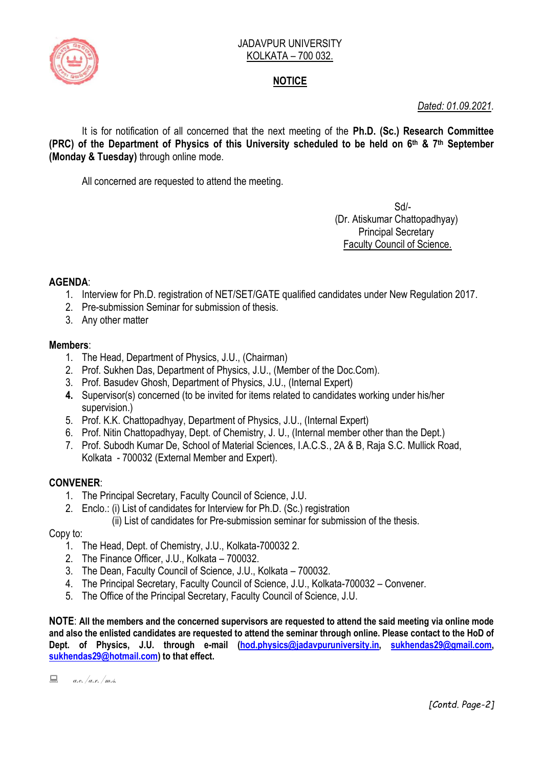

# **NOTICE**

*Dated: 01.09.2021.*

It is for notification of all concerned that the next meeting of the **Ph.D. (Sc.) Research Committee (PRC) of the Department of Physics of this University scheduled to be held on 6 th & 7th September (Monday & Tuesday)** through online mode.

All concerned are requested to attend the meeting.

Sd/- (Dr. Atiskumar Chattopadhyay) Principal Secretary Faculty Council of Science.

# **AGENDA**:

- 1. Interview for Ph.D. registration of NET/SET/GATE qualified candidates under New Regulation 2017.
- 2. Pre-submission Seminar for submission of thesis.
- 3. Any other matter

### **Members**:

- 1. The Head, Department of Physics, J.U., (Chairman)
- 2. Prof. Sukhen Das, Department of Physics, J.U., (Member of the Doc.Com).
- 3. Prof. Basudev Ghosh, Department of Physics, J.U., (Internal Expert)
- **4.** Supervisor(s) concerned (to be invited for items related to candidates working under his/her supervision.)
- 5. Prof. K.K. Chattopadhyay, Department of Physics, J.U., (Internal Expert)
- 6. Prof. Nitin Chattopadhyay, Dept. of Chemistry, J. U., (Internal member other than the Dept.)
- 7. Prof. Subodh Kumar De, School of Material Sciences, I.A.C.S., 2A & B, Raja S.C. Mullick Road, Kolkata - 700032 (External Member and Expert).

# **CONVENER**:

- 1. The Principal Secretary, Faculty Council of Science, J.U.
- 2. Enclo.: (i) List of candidates for Interview for Ph.D. (Sc.) registration
	- (ii) List of candidates for Pre-submission seminar for submission of the thesis.

#### Copy to:

- 1. The Head, Dept. of Chemistry, J.U., Kolkata-700032 2.
- 2. The Finance Officer, J.U., Kolkata 700032.
- 3. The Dean, Faculty Council of Science, J.U., Kolkata 700032.
- 4. The Principal Secretary, Faculty Council of Science, J.U., Kolkata-700032 Convener.
- 5. The Office of the Principal Secretary, Faculty Council of Science, J.U.

**NOTE**: **All the members and the concerned supervisors are requested to attend the said meeting via online mode and also the enlisted candidates are requested to attend the seminar through online. Please contact to the HoD of Dept. of Physics, J.U. through e-mail [\(hod.physics@jadavpuruniversity.in,](mailto:hod.physics@jadavpuruniversity.in) [sukhendas29@gmail.com,](mailto:sukhendas29@gmail.com) [sukhendas29@hotmail.com\)](mailto:sukhendas29@hotmail.com) to that effect.**

 $a.e.$  | a.c. | m.s.

*[Contd. Page-2]*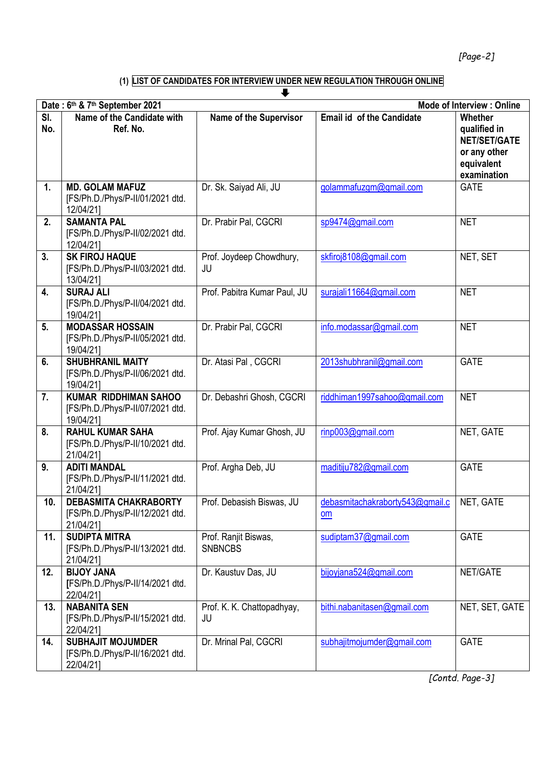*[Page-2]*

#### **(1) LIST OF CANDIDATES FOR INTERVIEW UNDER NEW REGULATION THROUGH ONLINE**

|                                                                    |                                                                               | ┺                                      |                                       |                                                                                             |  |
|--------------------------------------------------------------------|-------------------------------------------------------------------------------|----------------------------------------|---------------------------------------|---------------------------------------------------------------------------------------------|--|
| <b>Mode of Interview: Online</b><br>Date: 6th & 7th September 2021 |                                                                               |                                        |                                       |                                                                                             |  |
| SI.<br>No.                                                         | Name of the Candidate with<br>Ref. No.                                        | <b>Name of the Supervisor</b>          | <b>Email id of the Candidate</b>      | Whether<br>qualified in<br><b>NET/SET/GATE</b><br>or any other<br>equivalent<br>examination |  |
| $\mathbf{1}$                                                       | <b>MD. GOLAM MAFUZ</b><br>[FS/Ph.D./Phys/P-II/01/2021 dtd.<br>12/04/21]       | Dr. Sk. Saiyad Ali, JU                 | golammafuzgm@gmail.com                | <b>GATE</b>                                                                                 |  |
| 2.                                                                 | <b>SAMANTA PAL</b><br>[FS/Ph.D./Phys/P-II/02/2021 dtd.<br>12/04/21]           | Dr. Prabir Pal, CGCRI                  | sp9474@gmail.com                      | <b>NET</b>                                                                                  |  |
| 3.                                                                 | <b>SK FIROJ HAQUE</b><br>[FS/Ph.D./Phys/P-II/03/2021 dtd.<br>13/04/21]        | Prof. Joydeep Chowdhury,<br>JU         | skfiroj8108@gmail.com                 | NET, SET                                                                                    |  |
| 4.                                                                 | <b>SURAJ ALI</b><br>[FS/Ph.D./Phys/P-II/04/2021 dtd.<br>19/04/211             | Prof. Pabitra Kumar Paul, JU           | surajali11664@gmail.com               | <b>NET</b>                                                                                  |  |
| 5 <sub>1</sub>                                                     | <b>MODASSAR HOSSAIN</b><br>[FS/Ph.D./Phys/P-II/05/2021 dtd.<br>19/04/21]      | Dr. Prabir Pal, CGCRI                  | info.modassar@gmail.com               | <b>NET</b>                                                                                  |  |
| 6.                                                                 | <b>SHUBHRANIL MAITY</b><br>[FS/Ph.D./Phys/P-II/06/2021 dtd.<br>19/04/211      | Dr. Atasi Pal, CGCRI                   | 2013shubhranil@gmail.com              | <b>GATE</b>                                                                                 |  |
| 7.                                                                 | <b>KUMAR RIDDHIMAN SAHOO</b><br>[FS/Ph.D./Phys/P-II/07/2021 dtd.<br>19/04/21] | Dr. Debashri Ghosh, CGCRI              | riddhiman1997sahoo@gmail.com          | <b>NET</b>                                                                                  |  |
| 8.                                                                 | <b>RAHUL KUMAR SAHA</b><br>[FS/Ph.D./Phys/P-II/10/2021 dtd.<br>21/04/21]      | Prof. Ajay Kumar Ghosh, JU             | rinp003@gmail.com                     | NET, GATE                                                                                   |  |
| 9.                                                                 | <b>ADITI MANDAL</b><br>[FS/Ph.D./Phys/P-II/11/2021 dtd.<br>21/04/211          | Prof. Argha Deb, JU                    | maditiju782@gmail.com                 | <b>GATE</b>                                                                                 |  |
| 10.                                                                | <b>DEBASMITA CHAKRABORTY</b><br>[FS/Ph.D./Phys/P-II/12/2021 dtd.<br>21/04/21] | Prof. Debasish Biswas, JU              | debasmitachakraborty543@gmail.c<br>om | NET, GATE                                                                                   |  |
| 11.                                                                | <b>SUDIPTA MITRA</b><br>[FS/Ph.D./Phys/P-II/13/2021 dtd.<br>21/04/21]         | Prof. Ranjit Biswas,<br><b>SNBNCBS</b> | sudiptam37@gmail.com                  | <b>GATE</b>                                                                                 |  |
| 12.                                                                | <b>BIJOY JANA</b><br>[FS/Ph.D./Phys/P-II/14/2021 dtd.<br>22/04/21]            | Dr. Kaustuv Das, JU                    | bijoyjana524@gmail.com                | NET/GATE                                                                                    |  |
| 13.                                                                | <b>NABANITA SEN</b><br>[FS/Ph.D./Phys/P-II/15/2021 dtd.<br>22/04/21]          | Prof. K. K. Chattopadhyay,<br>JU       | bithi.nabanitasen@gmail.com           | NET, SET, GATE                                                                              |  |
| 14.                                                                | <b>SUBHAJIT MOJUMDER</b><br>[FS/Ph.D./Phys/P-II/16/2021 dtd.<br>22/04/21]     | Dr. Mrinal Pal, CGCRI                  | subhajitmojumder@gmail.com            | <b>GATE</b>                                                                                 |  |

*[Contd. Page-3]*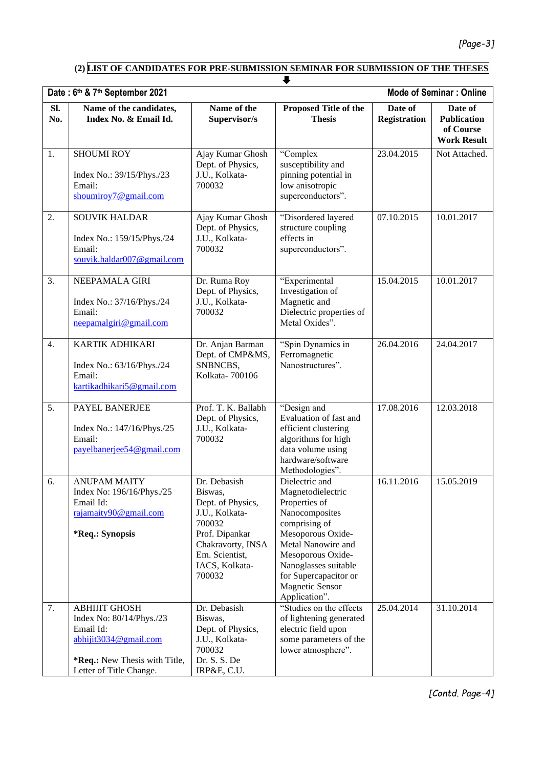**(2) LIST OF CANDIDATES FOR PRE-SUBMISSION SEMINAR FOR SUBMISSION OF THE THESES**

|            | u                                                                                                                                                  |                                                                                                                                                               |                                                                                                                                                                                                                                                     |                                |                                                                  |  |  |
|------------|----------------------------------------------------------------------------------------------------------------------------------------------------|---------------------------------------------------------------------------------------------------------------------------------------------------------------|-----------------------------------------------------------------------------------------------------------------------------------------------------------------------------------------------------------------------------------------------------|--------------------------------|------------------------------------------------------------------|--|--|
|            | <b>Mode of Seminar: Online</b><br>Date: 6th & 7th September 2021                                                                                   |                                                                                                                                                               |                                                                                                                                                                                                                                                     |                                |                                                                  |  |  |
| Sl.<br>No. | Name of the candidates,<br>Index No. & Email Id.                                                                                                   | Name of the<br>Supervisor/s                                                                                                                                   | <b>Proposed Title of the</b><br><b>Thesis</b>                                                                                                                                                                                                       | Date of<br><b>Registration</b> | Date of<br><b>Publication</b><br>of Course<br><b>Work Result</b> |  |  |
| 1.         | <b>SHOUMI ROY</b><br>Index No.: 39/15/Phys./23<br>Email:<br>shoumiroy7@gmail.com                                                                   | Ajay Kumar Ghosh<br>Dept. of Physics,<br>J.U., Kolkata-<br>700032                                                                                             | "Complex<br>susceptibility and<br>pinning potential in<br>low anisotropic<br>superconductors".                                                                                                                                                      | 23.04.2015                     | Not Attached.                                                    |  |  |
| 2.         | <b>SOUVIK HALDAR</b><br>Index No.: 159/15/Phys./24<br>Email:<br>souvik.haldar007@gmail.com                                                         | Ajay Kumar Ghosh<br>Dept. of Physics,<br>J.U., Kolkata-<br>700032                                                                                             | "Disordered layered<br>structure coupling<br>effects in<br>superconductors".                                                                                                                                                                        | 07.10.2015                     | 10.01.2017                                                       |  |  |
| 3.         | NEEPAMALA GIRI<br>Index No.: 37/16/Phys./24<br>Email:<br>neepamalgiri@gmail.com                                                                    | Dr. Ruma Roy<br>Dept. of Physics,<br>J.U., Kolkata-<br>700032                                                                                                 | "Experimental<br>Investigation of<br>Magnetic and<br>Dielectric properties of<br>Metal Oxides".                                                                                                                                                     | 15.04.2015                     | 10.01.2017                                                       |  |  |
| 4.         | <b>KARTIK ADHIKARI</b><br>Index No.: 63/16/Phys./24<br>Email:<br>kartikadhikari5@gmail.com                                                         | Dr. Anjan Barman<br>Dept. of CMP&MS,<br>SNBNCBS,<br>Kolkata-700106                                                                                            | "Spin Dynamics in<br>Ferromagnetic<br>Nanostructures".                                                                                                                                                                                              | 26.04.2016                     | 24.04.2017                                                       |  |  |
| 5.         | PAYEL BANERJEE<br>Index No.: 147/16/Phys./25<br>Email:<br>payelbanerjee54@gmail.com                                                                | Prof. T. K. Ballabh<br>Dept. of Physics,<br>J.U., Kolkata-<br>700032                                                                                          | "Design and<br>Evaluation of fast and<br>efficient clustering<br>algorithms for high<br>data volume using<br>hardware/software<br>Methodologies".                                                                                                   | 17.08.2016                     | 12.03.2018                                                       |  |  |
| 6.         | <b>ANUPAM MAITY</b><br>Index No: 196/16/Phys./25<br>Email Id:<br>rajamaity90@gmail.com<br>*Req.: Synopsis                                          | Dr. Debasish<br>Biswas,<br>Dept. of Physics,<br>J.U., Kolkata-<br>700032<br>Prof. Dipankar<br>Chakravorty, INSA<br>Em. Scientist,<br>IACS, Kolkata-<br>700032 | Dielectric and<br>Magnetodielectric<br>Properties of<br>Nanocomposites<br>comprising of<br>Mesoporous Oxide-<br>Metal Nanowire and<br>Mesoporous Oxide-<br>Nanoglasses suitable<br>for Supercapacitor or<br><b>Magnetic Sensor</b><br>Application". | 16.11.2016                     | 15.05.2019                                                       |  |  |
| 7.         | <b>ABHIJIT GHOSH</b><br>Index No: 80/14/Phys./23<br>Email Id:<br>abhijit3034@gmail.com<br>*Req.: New Thesis with Title,<br>Letter of Title Change. | Dr. Debasish<br>Biswas,<br>Dept. of Physics,<br>J.U., Kolkata-<br>700032<br>Dr. S. S. De<br>IRP&E, C.U.                                                       | "Studies on the effects<br>of lightening generated<br>electric field upon<br>some parameters of the<br>lower atmosphere".                                                                                                                           | 25.04.2014                     | 31.10.2014                                                       |  |  |

*[Contd. Page-4]*